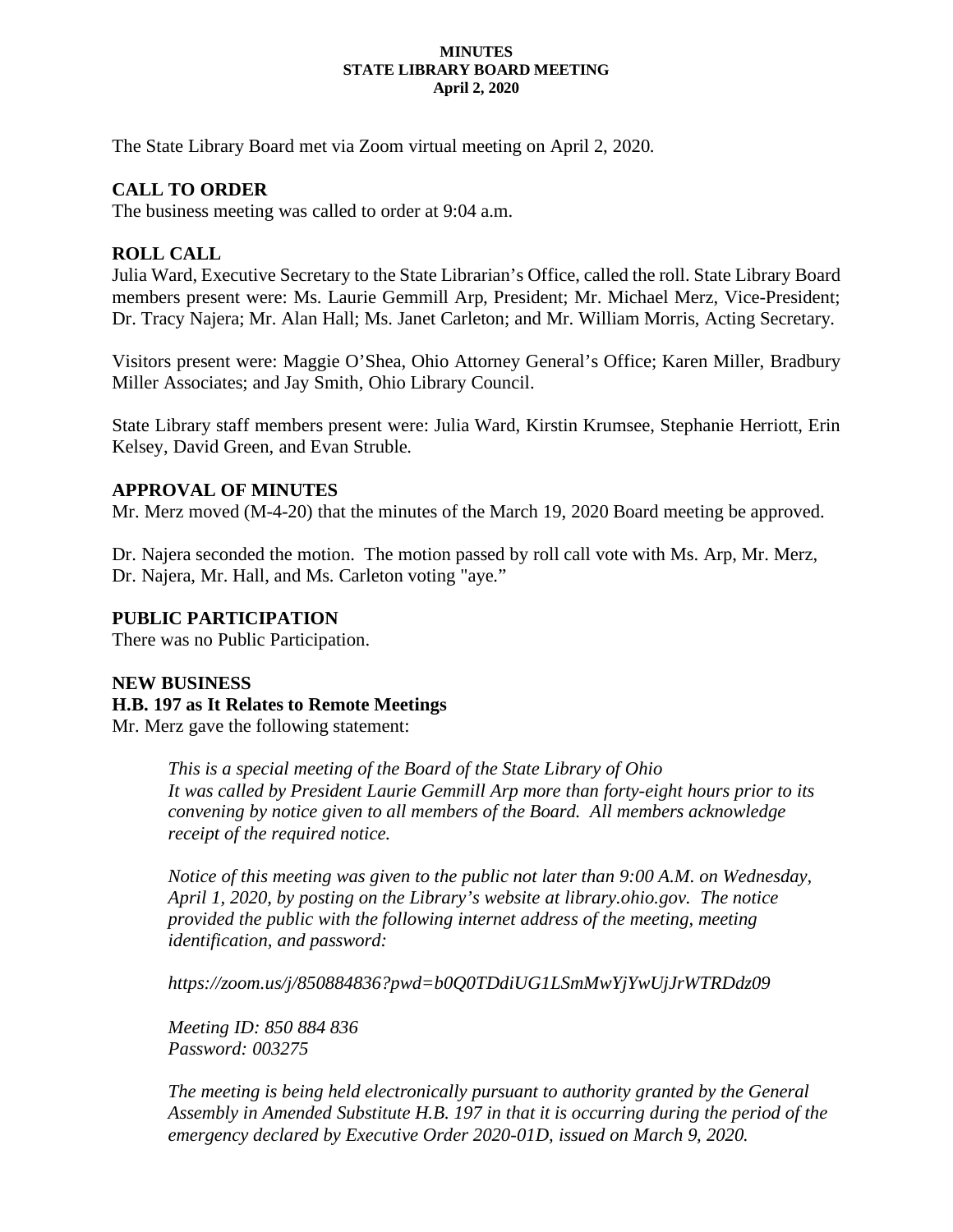#### **MINUTES STATE LIBRARY BOARD MEETING April 2, 2020**

The State Library Board met via Zoom virtual meeting on April 2, 2020.

## **CALL TO ORDER**

The business meeting was called to order at 9:04 a.m.

### **ROLL CALL**

Julia Ward, Executive Secretary to the State Librarian's Office, called the roll. State Library Board members present were: Ms. Laurie Gemmill Arp, President; Mr. Michael Merz, Vice-President; Dr. Tracy Najera; Mr. Alan Hall; Ms. Janet Carleton; and Mr. William Morris, Acting Secretary.

Visitors present were: Maggie O'Shea, Ohio Attorney General's Office; Karen Miller, Bradbury Miller Associates; and Jay Smith, Ohio Library Council.

State Library staff members present were: Julia Ward, Kirstin Krumsee, Stephanie Herriott, Erin Kelsey, David Green, and Evan Struble.

### **APPROVAL OF MINUTES**

Mr. Merz moved (M-4-20) that the minutes of the March 19, 2020 Board meeting be approved.

Dr. Najera seconded the motion. The motion passed by roll call vote with Ms. Arp, Mr. Merz, Dr. Najera, Mr. Hall, and Ms. Carleton voting "aye."

### **PUBLIC PARTICIPATION**

There was no Public Participation.

### **NEW BUSINESS**

### **H.B. 197 as It Relates to Remote Meetings**

Mr. Merz gave the following statement:

*This is a special meeting of the Board of the State Library of Ohio It was called by President Laurie Gemmill Arp more than forty-eight hours prior to its convening by notice given to all members of the Board. All members acknowledge receipt of the required notice.*

*Notice of this meeting was given to the public not later than 9:00 A.M. on Wednesday, April 1, 2020, by posting on the Library's website at library.ohio.gov. The notice provided the public with the following internet address of the meeting, meeting identification, and password:*

*https://zoom.us/j/850884836?pwd=b0Q0TDdiUG1LSmMwYjYwUjJrWTRDdz09*

*Meeting ID: 850 884 836 Password: 003275*

*The meeting is being held electronically pursuant to authority granted by the General Assembly in Amended Substitute H.B. 197 in that it is occurring during the period of the emergency declared by Executive Order 2020-01D, issued on March 9, 2020.*